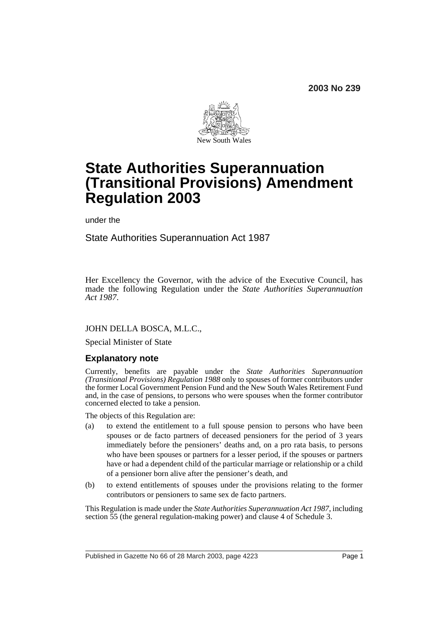**2003 No 239**



# **State Authorities Superannuation (Transitional Provisions) Amendment Regulation 2003**

under the

State Authorities Superannuation Act 1987

Her Excellency the Governor, with the advice of the Executive Council, has made the following Regulation under the *State Authorities Superannuation Act 1987*.

#### JOHN DELLA BOSCA, M.L.C.,

Special Minister of State

# **Explanatory note**

Currently, benefits are payable under the *State Authorities Superannuation (Transitional Provisions) Regulation 1988* only to spouses of former contributors under the former Local Government Pension Fund and the New South Wales Retirement Fund and, in the case of pensions, to persons who were spouses when the former contributor concerned elected to take a pension.

The objects of this Regulation are:

- (a) to extend the entitlement to a full spouse pension to persons who have been spouses or de facto partners of deceased pensioners for the period of 3 years immediately before the pensioners' deaths and, on a pro rata basis, to persons who have been spouses or partners for a lesser period, if the spouses or partners have or had a dependent child of the particular marriage or relationship or a child of a pensioner born alive after the pensioner's death, and
- (b) to extend entitlements of spouses under the provisions relating to the former contributors or pensioners to same sex de facto partners.

This Regulation is made under the *State Authorities Superannuation Act 1987*, including section 55 (the general regulation-making power) and clause 4 of Schedule 3.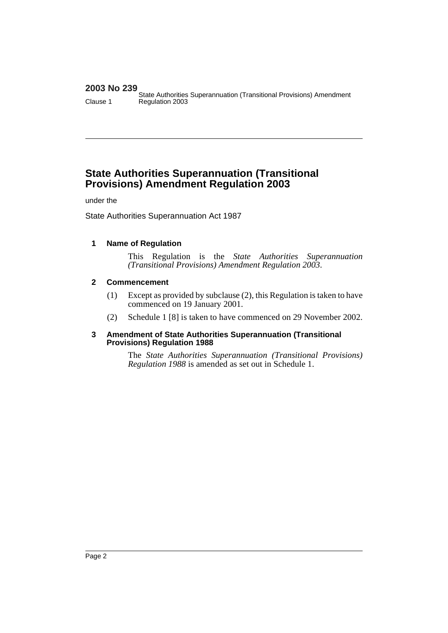# **2003 No 239**

State Authorities Superannuation (Transitional Provisions) Amendment Clause 1 Regulation 2003

# **State Authorities Superannuation (Transitional Provisions) Amendment Regulation 2003**

under the

State Authorities Superannuation Act 1987

# **1 Name of Regulation**

This Regulation is the *State Authorities Superannuation (Transitional Provisions) Amendment Regulation 2003*.

# **2 Commencement**

- (1) Except as provided by subclause (2), this Regulation is taken to have commenced on 19 January 2001.
- (2) Schedule 1 [8] is taken to have commenced on 29 November 2002.

#### **3 Amendment of State Authorities Superannuation (Transitional Provisions) Regulation 1988**

The *State Authorities Superannuation (Transitional Provisions) Regulation 1988* is amended as set out in Schedule 1.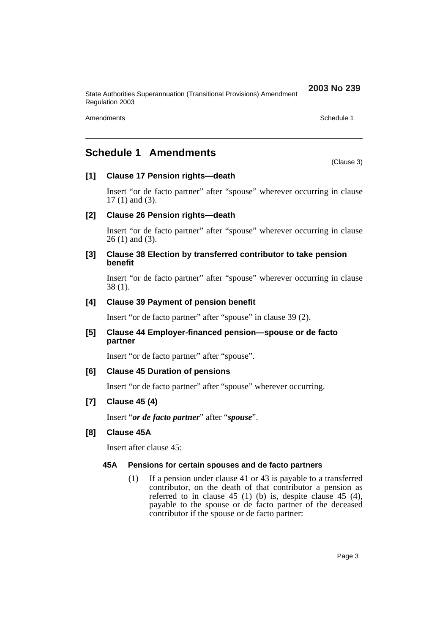State Authorities Superannuation (Transitional Provisions) Amendment Regulation 2003

Amendments **Schedule 1** and the set of the set of the set of the set of the set of the set of the set of the set of the set of the set of the set of the set of the set of the set of the set of the set of the set of the set

(Clause 3)

**2003 No 239**

# **Schedule 1 Amendments**

#### **[1] Clause 17 Pension rights—death**

Insert "or de facto partner" after "spouse" wherever occurring in clause 17 (1) and (3).

#### **[2] Clause 26 Pension rights—death**

Insert "or de facto partner" after "spouse" wherever occurring in clause 26 (1) and (3).

#### **[3] Clause 38 Election by transferred contributor to take pension benefit**

Insert "or de facto partner" after "spouse" wherever occurring in clause 38 (1).

# **[4] Clause 39 Payment of pension benefit**

Insert "or de facto partner" after "spouse" in clause 39 (2).

#### **[5] Clause 44 Employer-financed pension—spouse or de facto partner**

Insert "or de facto partner" after "spouse".

# **[6] Clause 45 Duration of pensions**

Insert "or de facto partner" after "spouse" wherever occurring.

# **[7] Clause 45 (4)**

Insert "*or de facto partner*" after "*spouse*".

# **[8] Clause 45A**

Insert after clause 45:

#### **45A Pensions for certain spouses and de facto partners**

(1) If a pension under clause 41 or 43 is payable to a transferred contributor, on the death of that contributor a pension as referred to in clause 45 (1) (b) is, despite clause 45 (4), payable to the spouse or de facto partner of the deceased contributor if the spouse or de facto partner: